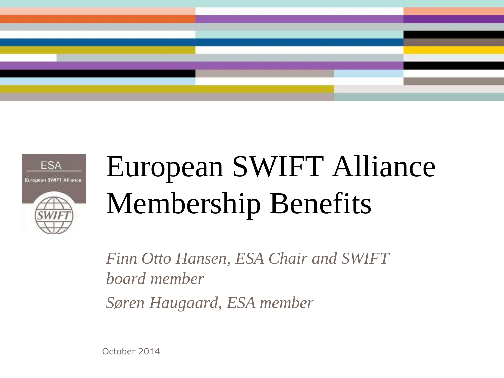



# European SWIFT Alliance Membership Benefits

*Finn Otto Hansen, ESA Chair and SWIFT board member*

*Søren Haugaard, ESA member*

October 2014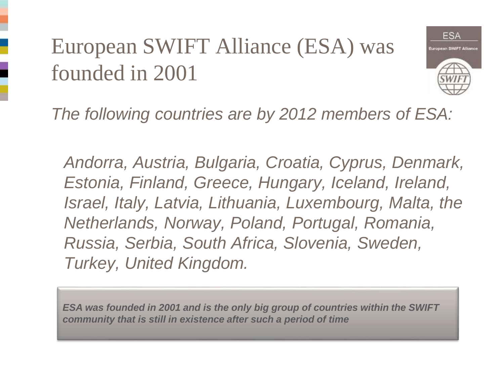#### European SWIFT Alliance (ESA) was founded in 2001



*The following countries are by 2012 members of ESA:*

*Andorra, Austria, Bulgaria, Croatia, Cyprus, Denmark, Estonia, Finland, Greece, Hungary, Iceland, Ireland, Israel, Italy, Latvia, Lithuania, Luxembourg, Malta, the Netherlands, Norway, Poland, Portugal, Romania, Russia, Serbia, South Africa, Slovenia, Sweden, Turkey, United Kingdom.*

*ESA was founded in 2001 and is the only big group of countries within the SWIFT community that is still in existence after such a period of time*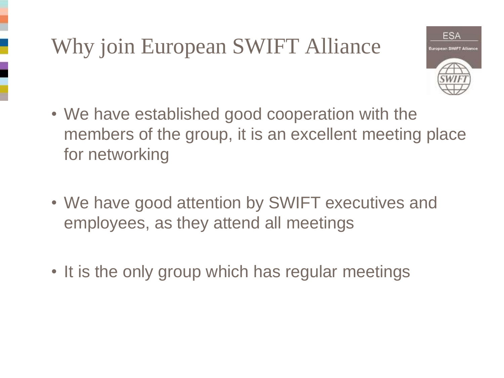## Why join European SWIFT Alliance



- We have established good cooperation with the members of the group, it is an excellent meeting place for networking
- We have good attention by SWIFT executives and employees, as they attend all meetings
- It is the only group which has regular meetings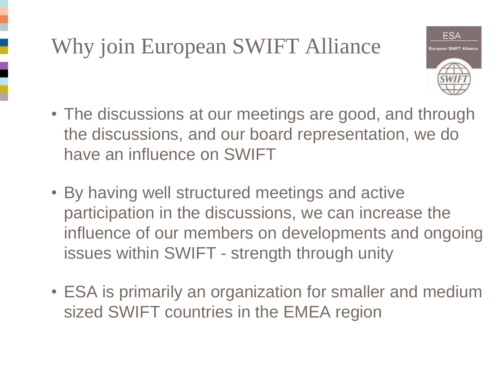## Why join European SWIFT Alliance



- The discussions at our meetings are good, and through the discussions, and our board representation, we do have an influence on SWIFT
- By having well structured meetings and active participation in the discussions, we can increase the influence of our members on developments and ongoing issues within SWIFT - strength through unity
- ESA is primarily an organization for smaller and medium sized SWIFT countries in the EMEA region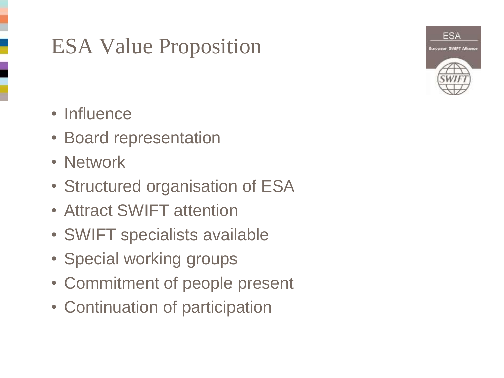#### ESA Value Proposition



- Influence
- Board representation
- Network
- Structured organisation of ESA
- Attract SWIFT attention
- SWIFT specialists available
- Special working groups
- Commitment of people present
- Continuation of participation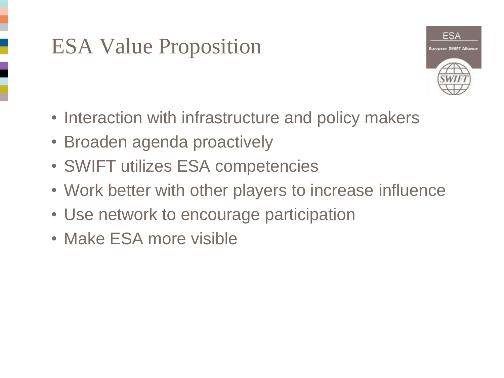#### ESA Value Proposition



- Interaction with infrastructure and policy makers
- Broaden agenda proactively
- SWIFT utilizes ESA competencies
- Work better with other players to increase influence
- Use network to encourage participation
- Make ESA more visible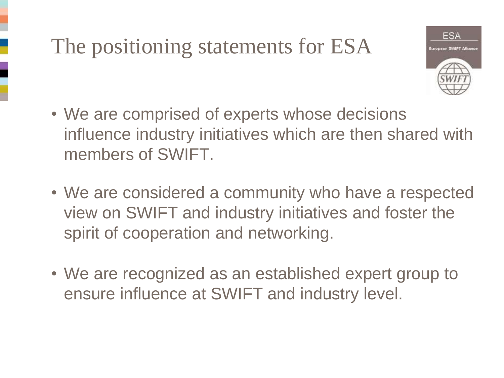The positioning statements for ESA



- We are comprised of experts whose decisions influence industry initiatives which are then shared with members of SWIFT.
- We are considered a community who have a respected view on SWIFT and industry initiatives and foster the spirit of cooperation and networking.
- We are recognized as an established expert group to ensure influence at SWIFT and industry level.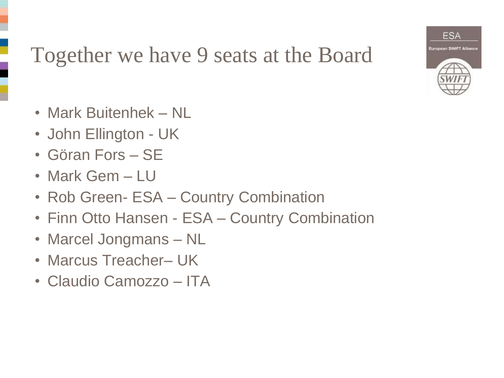

## Together we have 9 seats at the Board

- Mark Buitenhek NL
- John Ellington UK
- Göran Fors SE
- Mark Gem LU
- Rob Green- ESA Country Combination
- Finn Otto Hansen ESA Country Combination
- Marcel Jongmans NL
- Marcus Treacher– UK
- Claudio Camozzo ITA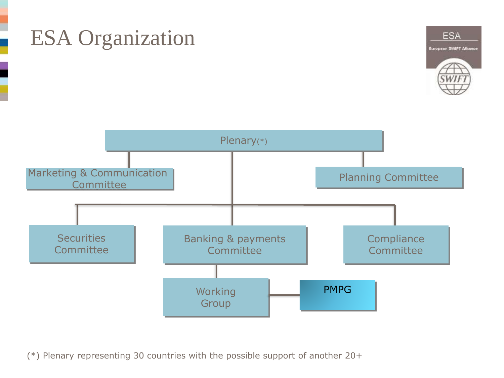

**ESA** European SWIFT Alliance

(\*) Plenary representing 30 countries with the possible support of another 20+

ESA Organization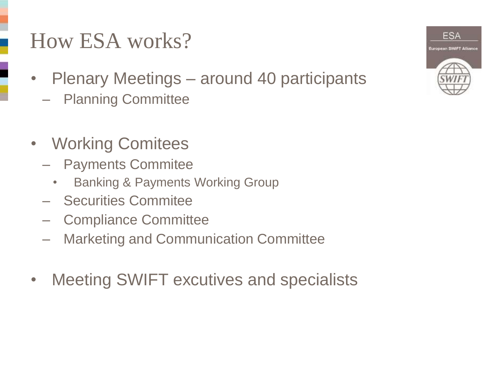#### How ESA works?

- Plenary Meetings around 40 participants
	- Planning Committee
- Working Comitees
	- Payments Commitee
		- Banking & Payments Working Group
	- Securities Commitee
	- Compliance Committee
	- Marketing and Communication Committee
- Meeting SWIFT excutives and specialists

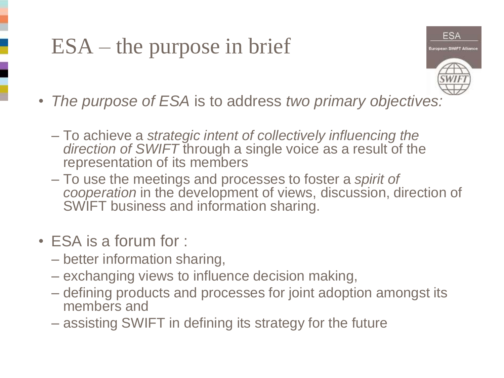### ESA – the purpose in brief



- *The purpose of ESA* is to address *two primary objectives:*
	- To achieve a *strategic intent of collectively influencing the direction of SWIFT* through a single voice as a result of the representation of its members
	- To use the meetings and processes to foster a *spirit of cooperation* in the development of views, discussion, direction of SWIFT business and information sharing.
- ESA is a forum for :
	- better information sharing,
	- exchanging views to influence decision making,
	- defining products and processes for joint adoption amongst its members and
	- assisting SWIFT in defining its strategy for the future